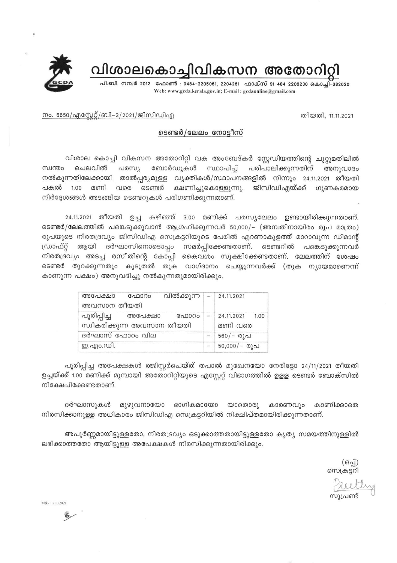വിശാലകൊച്ചിവികസന അതോറിറ്റി



നം. 6650/എസ്റ്റേറ്റ്/ബി–3/2021/ജിസിഡിഎ

## ടെണ്ടർ/ലേലം നോട്ടീസ്

വിശാല കൊച്ചി വികസന അതോറിറ്റി വക അംബേദ്കർ സ്റ്റേഡിയത്തിന്റെ ചുറ്റുമതിലിൽ ചെലവിൽ പരസ്യ ബോർഡുകൾ പരിപാലിക്കുന്നതിന് സ്വന്തം സ്ഥാപിച്ച് അനുവാദം നൽകുന്നതിലേക്കായി താൽപ്പര്യമുള്ള വ്യക്തികൾ/സ്ഥാപനങ്ങളിൽ നിന്നും 24.11.2021 തീയതി ജിസിഡിഎയ്ക്ക് ഗുണകരമായ വരെ ടെണ്ടർ ക്ഷണിച്ചുകൊള്ളുന്നു. പകൽ 1.00 മണി നിർദ്ദേശങ്ങൾ അടങ്ങിയ ടെണ്ടറുകൾ പരിഗണിക്കുന്നതാണ്.

24.11.2021 തീയതി ഉച്ച കഴിഞ്ഞ് 3.00 മണിക്ക് പരസ്യലേലം ഉണ്ടായിരിക്കുന്നതാണ്. ടെണ്ടർ/ലേലത്തിൽ പങ്കെടുക്കുവാൻ ആഗ്രഹിക്കുന്നവർ 50,000/- (അമ്പതിനായിരം രൂപ മാത്രം) രൂപയുടെ നിരതദ്രവ്യം ജിസിഡിഎ സെക്രട്ടറിയുടെ പേരിൽ എറണാകുളത്ത് മാറാവുന്ന ഡിമാന്റ് ഡ്രാഫ്റ്റ് ആയി ദർഘാസിനൊടൊപ്പം സമർപ്പിക്കേണ്ടതാണ്. ടെണ്ടറിൽ പങ്കെടുക്കുന്നവർ നിരതദ്രവ്യം അടച്ച രസീതിന്റെ കോപ്പി കൈവശം സൂക്ഷിക്കേണ്ടതാണ്. ലേലത്തിന് ശേഷം ടെണ്ടർ തുറക്കുന്നതും കൂടുതൽ തുക വാഗ്ദാനം ചെയ്യുന്നവർക്ക് (തുക ന്യായമാണെന്ന് കാണുന്ന പക്ഷം) അനുവദിച്ചു നൽകുന്നതുമായിരിക്കും.

| അപേക്ഷാ                                   | ഫോറം    | വിൽക്കുന്ന   –   24.11.2021 |     |                                |
|-------------------------------------------|---------|-----------------------------|-----|--------------------------------|
| അവസാന തീയതി                               |         |                             |     |                                |
| പൂരിപ്പിച്ച<br>സ്വീകരിക്കുന്ന അവസാന തീയതി | അപേക്ഷാ | ഫോറം                        |     | $- 24.11.2021 1.00$<br>മണി വരെ |
| ദർഘാസ് ഫോറം വില                           |         |                             |     | 560/– രൂപ                      |
| ഇ.എം.ഡി.                                  |         |                             | $-$ | $50,000/-$ രൂപ                 |

പൂരിപ്പിച്ച അപേക്ഷകൾ രജിസ്റ്റർചെയ്ത് തപാൽ മുഖേനയോ നേരിട്ടോ 24/11/2021 തീയതി ഉച്ചയ്ക്ക് 1.00 മണിക്ക് മുമ്പായി അതോറിറ്റിയുടെ എസ്റ്റേറ്റ് വിഭാഗത്തിൽ ഉളള ടെണ്ടർ ബോക്സിൽ നിക്ഷേപിക്കേണ്ടതാണ്.

ദർഘാസുകൾ മുഴുവനായോ ഭാഗികമായോ യാതൊരു കാരണവും കാണിക്കാതെ നിരസിക്കാനുള്ള അധികാരം ജിസിഡിഎ സെക്രട്ടറിയിൽ നിക്ഷിപ്തമായിരിക്കുന്നതാണ്.

അപൂർണ്ണമായിട്ടുള്ളതോ, നിരതദ്രവ്യം ഒടുക്കാത്തതായിട്ടുള്ളതോ കൃത്യ സമയത്തിനുള്ളിൽ ലഭിക്കാത്തതോ ആയിട്ടുള്ള അപേക്ഷകൾ നിരസിക്കുന്നതായിരിക്കും.

(ഒപ്പ്)<br>സെക്രട്ടറി

തീയതി, 11.11.2021

reeth

Mtk-11/11/2021

赐